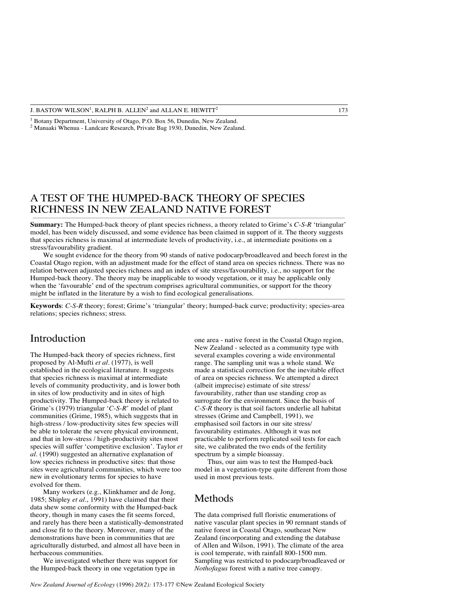<sup>1</sup> Botany Department, University of Otago, P.O. Box 56, Dunedin, New Zealand.

<sup>2</sup> Manaaki Whenua - Landcare Research, Private Bag 1930, Dunedin, New Zealand.

# A TEST OF THE HUMPED-BACK THEORY OF SPECIES RICHNESS IN NEW ZEALAND NATIVE FOREST

**Summary:** The Humped-back theory of plant species richness, a theory related to Grime's *C*-*S*-*R* 'triangular' model, has been widely discussed, and some evidence has been claimed in support of it. The theory suggests that species richness is maximal at intermediate levels of productivity, i.e., at intermediate positions on a stress/favourability gradient.

We sought evidence for the theory from 90 stands of native podocarp/broadleaved and beech forest in the Coastal Otago region, with an adjustment made for the effect of stand area on species richness. There was no relation between adjusted species richness and an index of site stress/favourability, i.e., no support for the Humped-back theory. The theory may be inapplicable to woody vegetation, or it may be applicable only when the 'favourable' end of the spectrum comprises agricultural communities, or support for the theory might be inflated in the literature by a wish to find ecological generalisations.

**Keywords**: *C*-*S*-*R* theory; forest; Grime's 'triangular' theory; humped-back curve; productivity; species-area relations; species richness; stress.

#### Introduction

The Humped-back theory of species richness, first proposed by Al-Mufti *et al.* (1977), is well established in the ecological literature. It suggests that species richness is maximal at intermediate levels of community productivity, and is lower both in sites of low productivity and in sites of high productivity. The Humped-back theory is related to Grime's (1979) triangular '*C*-*S*-*R*' model of plant communities (Grime, 1985), which suggests that in high-stress / low-productivity sites few species will be able to tolerate the severe physical environment, and that in low-stress / high-productivity sites most species will suffer 'competitive exclusion'. Taylor *et al.* (1990) suggested an alternative explanation of low species richness in productive sites: that those sites were agricultural communities, which were too new in evolutionary terms for species to have evolved for them.

Many workers (e.g., Klinkhamer and de Jong, 1985; Shipley *et al.*, 1991) have claimed that their data shew some conformity with the Humped-back theory, though in many cases the fit seems forced, and rarely has there been a statistically-demonstrated and close fit to the theory. Moreover, many of the demonstrations have been in communities that are agriculturally disturbed, and almost all have been in herbaceous communities.

We investigated whether there was support for the Humped-back theory in one vegetation type in

one area - native forest in the Coastal Otago region, New Zealand - selected as a community type with several examples covering a wide environmental range. The sampling unit was a whole stand. We made a statistical correction for the inevitable effect of area on species richness. We attempted a direct (albeit imprecise) estimate of site stress/ favourability, rather than use standing crop as surrogate for the environment. Since the basis of *C*-*S*-*R* theory is that soil factors underlie all habitat stresses (Grime and Campbell, 1991), we emphasised soil factors in our site stress/ favourability estimates. Although it was not practicable to perform replicated soil tests for each site, we calibrated the two ends of the fertility spectrum by a simple bioassay.

Thus, our aim was to test the Humped-back model in a vegetation-type quite different from those used in most previous tests.

### Methods

The data comprised full floristic enumerations of native vascular plant species in 90 remnant stands of native forest in Coastal Otago, southeast New Zealand (incorporating and extending the database of Allen and Wilson, 1991). The climate of the area is cool temperate, with rainfall 800-1500 mm. Sampling was restricted to podocarp/broadleaved or *Nothofagus* forest with a native tree canopy.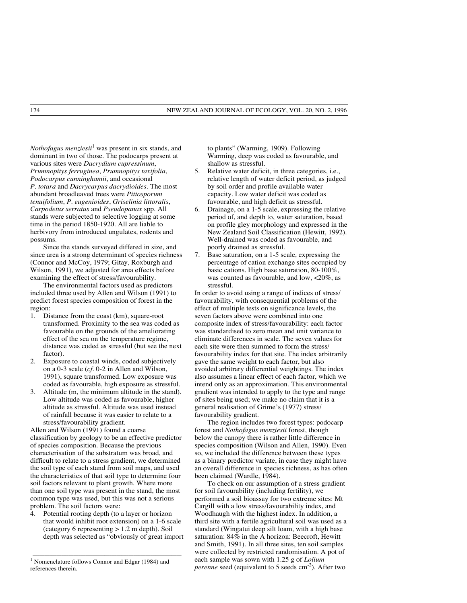*Nothofagus menziesii*<sup>1</sup> was present in six stands, and dominant in two of those. The podocarps present at various sites were *Dacrydium cupressinum*, *Prumnopitys ferruginea*, *Prumnopitys taxifolia*, *Podocarpus cunninghamii*, and occasional *P. totara* and *Dacrycarpus dacrydioides*. The most abundant broadleaved trees were *Pittosporum tenuifolium*, *P. eugenioides*, *Griselinia littoralis*, *Carpodetus serratus* and *Pseudopanax* spp. All stands were subjected to selective logging at some time in the period 1850-1920. All are liable to herbivory from introduced ungulates, rodents and possums.

Since the stands surveyed differed in size, and since area is a strong determinant of species richness (Connor and McCoy, 1979; Gitay, Roxburgh and Wilson, 1991), we adjusted for area effects before examining the effect of stress/favourability.

The environmental factors used as predictors included three used by Allen and Wilson (1991) to predict forest species composition of forest in the region:

- 1. Distance from the coast (km), square-root transformed. Proximity to the sea was coded as favourable on the grounds of the ameliorating effect of the sea on the temperature regime, distance was coded as stressful (but see the next factor).
- 2. Exposure to coastal winds, coded subjectively on a 0-3 scale (*cf.* 0-2 in Allen and Wilson, 1991), square transformed. Low exposure was coded as favourable, high exposure as stressful.
- 3. Altitude (m, the minimum altitude in the stand). Low altitude was coded as favourable, higher altitude as stressful. Altitude was used instead of rainfall because it was easier to relate to a stress/favourability gradient.

Allen and Wilson (1991) found a coarse classification by geology to be an effective predictor of species composition. Because the previous characterisation of the substratum was broad, and difficult to relate to a stress gradient, we determined the soil type of each stand from soil maps, and used the characteristics of that soil type to determine four soil factors relevant to plant growth. Where more than one soil type was present in the stand, the most common type was used, but this was not a serious problem. The soil factors were:

4. Potential rooting depth (to a layer or horizon that would inhibit root extension) on a 1-6 scale (category 6 representing > 1.2 m depth). Soil depth was selected as "obviously of great import

\_\_\_\_\_\_\_\_\_\_\_\_\_\_\_\_\_\_\_\_\_\_\_\_\_\_\_\_\_\_\_\_\_\_\_\_\_\_\_\_\_\_\_\_\_\_\_\_\_\_\_\_\_\_\_\_\_\_\_\_\_\_

to plants" (Warming, 1909). Following Warming, deep was coded as favourable, and shallow as stressful.

- 5. Relative water deficit, in three categories, i.e., relative length of water deficit period, as judged by soil order and profile available water capacity. Low water deficit was coded as favourable, and high deficit as stressful.
- 6. Drainage, on a 1-5 scale, expressing the relative period of, and depth to, water saturation, based on profile gley morphology and expressed in the New Zealand Soil Classification (Hewitt, 1992). Well-drained was coded as favourable, and poorly drained as stressful.
- 7. Base saturation, on a 1-5 scale, expressing the percentage of cation exchange sites occupied by basic cations. High base saturation, 80-100%, was counted as favourable, and low, <20%, as stressful.

In order to avoid using a range of indices of stress/ favourability, with consequential problems of the effect of multiple tests on significance levels, the seven factors above were combined into one composite index of stress/favourability: each factor was standardised to zero mean and unit variance to eliminate differences in scale. The seven values for each site were then summed to form the stress/ favourability index for that site. The index arbitrarily gave the same weight to each factor, but also avoided arbitrary differential weightings. The index also assumes a linear effect of each factor, which we intend only as an approximation. This environmental gradient was intended to apply to the type and range of sites being used; we make no claim that it is a general realisation of Grime's (1977) stress/ favourability gradient.

The region includes two forest types: podocarp forest and *Nothofagus menziesii* forest, though below the canopy there is rather little difference in species composition (Wilson and Allen, 1990). Even so, we included the difference between these types as a binary predictor variate, in case they might have an overall difference in species richness, as has often been claimed (Wardle, 1984).

To check on our assumption of a stress gradient for soil favourability (including fertility), we performed a soil bioassay for two extreme sites: Mt Cargill with a low stress/favourability index, and Woodhaugh with the highest index. In addition, a third site with a fertile agricultural soil was used as a standard (Wingatui deep silt loam, with a high base saturation: 84% in the A horizon: Beecroft, Hewitt and Smith, 1991). In all three sites, ten soil samples were collected by restricted randomisation. A pot of each sample was sown with 1.25 g of *Lolium perenne* seed (equivalent to 5 seeds cm<sup>-2</sup>). After two

<sup>&</sup>lt;sup>1</sup> Nomenclature follows Connor and Edgar (1984) and references therein.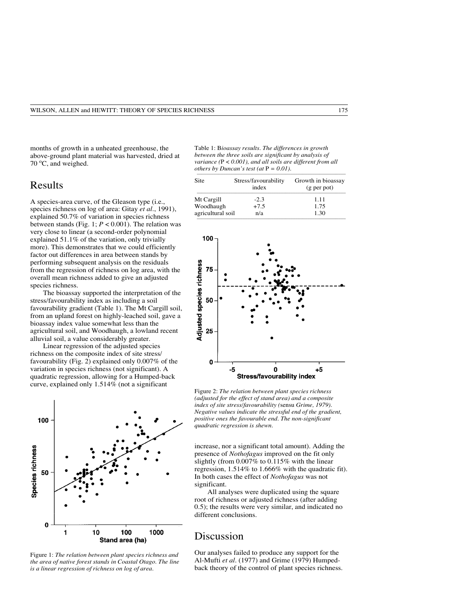months of growth in a unheated greenhouse, the above-ground plant material was harvested, dried at 70 °C, and weighed.

# Results

A species-area curve, of the Gleason type (i.e., species richness on log of area: Gitay *et al.*, 1991), explained 50.7% of variation in species richness between stands (Fig. 1;  $P < 0.001$ ). The relation was very close to linear (a second-order polynomial explained 51.1% of the variation, only trivially more). This demonstrates that we could efficiently factor out differences in area between stands by performing subsequent analysis on the residuals from the regression of richness on log area, with the overall mean richness added to give an adjusted species richness.

The bioassay supported the interpretation of the stress/favourability index as including a soil favourability gradient (Table 1). The Mt Cargill soil, from an upland forest on highly-leached soil, gave a bioassay index value somewhat less than the agricultural soil, and Woodhaugh, a lowland recent alluvial soil, a value considerably greater.

Linear regression of the adjusted species richness on the composite index of site stress/ favourability (Fig. 2) explained only 0.007% of the variation in species richness (not significant). A quadratic regression, allowing for a Humped-back curve, explained only 1.514% (not a significant



Figure 1: *The relation between plant species richness and the area of native forest stands in Coastal Otago. The line is a linear regression of richness on log of area.*

Table 1: B*ioassay results. The differences in growth between the three soils are significant by analysis of variance (*P < *0.001), and all soils are different from all others by Duncan's test (at*  $P = 0.01$ ).

| Site              | Stress/favourability<br>index | Growth in bioassay<br>(g per pot) |
|-------------------|-------------------------------|-----------------------------------|
| Mt Cargill        | $-2.3$                        | 1.11                              |
| Woodhaugh         | $+7.5$                        | 1.75                              |
| agricultural soil | n/a                           | 1.30                              |



Figure 2: *The relation between plant species richness (adjusted for the effect of stand area) and a composite index of site stress/favourability (*sensu *Grime, 1979). Negative values indicate the stressful end of the gradient, positive ones the favourable end. The non-significant quadratic regression is shewn.*

increase, nor a significant total amount). Adding the presence of *Nothofagus* improved on the fit only slightly (from 0.007% to 0.115% with the linear regression, 1.514% to 1.666% with the quadratic fit). In both cases the effect of *Nothofagus* was not significant.

All analyses were duplicated using the square root of richness or adjusted richness (after adding 0.5); the results were very similar, and indicated no different conclusions.

### Discussion

Our analyses failed to produce any support for the Al-Mufti *et al.* (1977) and Grime (1979) Humpedback theory of the control of plant species richness.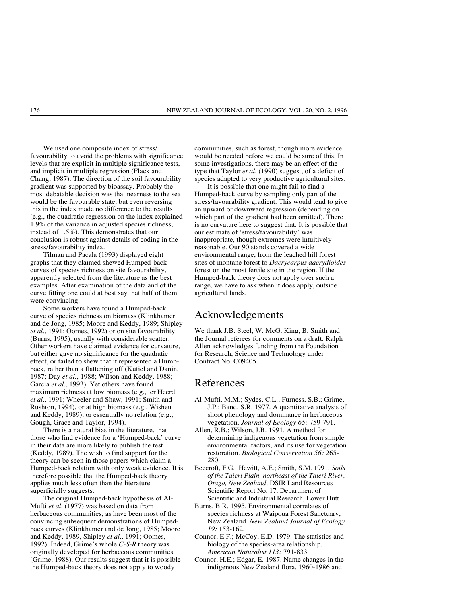We used one composite index of stress/ favourability to avoid the problems with significance levels that are explicit in multiple significance tests, and implicit in multiple regression (Flack and Chang, 1987). The direction of the soil favourability gradient was supported by bioassay. Probably the most debatable decision was that nearness to the sea would be the favourable state, but even reversing this in the index made no difference to the results (e.g., the quadratic regression on the index explained 1.9% of the variance in adjusted species richness, instead of 1.5%). This demonstrates that our conclusion is robust against details of coding in the stress/favourability index.

Tilman and Pacala (1993) displayed eight graphs that they claimed shewed Humped-back curves of species richness on site favourability, apparently selected from the literature as the best examples. After examination of the data and of the curve fitting one could at best say that half of them were convincing.

Some workers have found a Humped-back curve of species richness on biomass (Klinkhamer and de Jong, 1985; Moore and Keddy, 1989; Shipley *et al.*, 1991; Oomes, 1992) or on site favourability (Burns, 1995), usually with considerable scatter. Other workers have claimed evidence for curvature, but either gave no significance for the quadratic effect, or failed to shew that it represented a Humpback, rather than a flattening off (Kutiel and Danin, 1987; Day *et al.*, 1988; Wilson and Keddy, 1988; Garcia *et al.*, 1993). Yet others have found maximum richness at low biomass (e.g., ter Heerdt *et al.*, 1991; Wheeler and Shaw, 1991; Smith and Rushton, 1994), or at high biomass (e.g., Wisheu and Keddy, 1989), or essentially no relation (e.g., Gough, Grace and Taylor, 1994).

There is a natural bias in the literature, that those who find evidence for a 'Humped-back' curve in their data are more likely to publish the test (Keddy, 1989). The wish to find support for the theory can be seen in those papers which claim a Humped-back relation with only weak evidence. It is therefore possible that the Humped-back theory applies much less often than the literature superficially suggests.

The original Humped-back hypothesis of Al-Mufti *et al.* (1977) was based on data from herbaceous communities, as have been most of the convincing subsequent demonstrations of Humpedback curves (Klinkhamer and de Jong, 1985; Moore and Keddy, 1989, Shipley *et al.*, 1991; Oomes, 1992). Indeed, Grime's whole *C*-*S*-*R* theory was originally developed for herbaceous communities (Grime, 1988). Our results suggest that it is possible the Humped-back theory does not apply to woody

communities, such as forest, though more evidence would be needed before we could be sure of this. In some investigations, there may be an effect of the type that Taylor *et al.* (1990) suggest, of a deficit of species adapted to very productive agricultural sites.

It is possible that one might fail to find a Humped-back curve by sampling only part of the stress/favourability gradient. This would tend to give an upward or downward regression (depending on which part of the gradient had been omitted). There is no curvature here to suggest that. It is possible that our estimate of 'stress/favourability' was inappropriate, though extremes were intuitively reasonable. Our 90 stands covered a wide environmental range, from the leached hill forest sites of montane forest to *Dacrycarpus dacrydioides* forest on the most fertile site in the region. If the Humped-back theory does not apply over such a range, we have to ask when it does apply, outside agricultural lands.

### Acknowledgements

We thank J.B. Steel, W. McG. King, B. Smith and the Journal referees for comments on a draft. Ralph Allen acknowledges funding from the Foundation for Research, Science and Technology under Contract No. C09405.

### References

- Al-Mufti, M.M.; Sydes, C.L.; Furness, S.B.; Grime, J.P.; Band, S.R. 1977. A quantitative analysis of shoot phenology and dominance in herbaceous vegetation. *Journal of Ecology 65:* 759-791.
- Allen, R.B.; Wilson, J.B. 1991. A method for determining indigenous vegetation from simple environmental factors, and its use for vegetation restoration. *Biological Conservation 56:* 265- 280.
- Beecroft, F.G.; Hewitt, A.E.; Smith, S.M. 1991. *Soils of the Taieri Plain, northeast of the Taieri River, Otago, New Zealand*. DSIR Land Resources Scientific Report No. 17. Department of Scientific and Industrial Research, Lower Hutt.
- Burns, B.R. 1995. Environmental correlates of species richness at Waipoua Forest Sanctuary, New Zealand. *New Zealand Journal of Ecology 19:* 153-162.
- Connor, E.F.; McCoy, E.D. 1979. The statistics and biology of the species-area relationship. *American Naturalist 113:* 791-833.
- Connor, H.E.; Edgar, E. 1987. Name changes in the indigenous New Zealand flora, 1960-1986 and